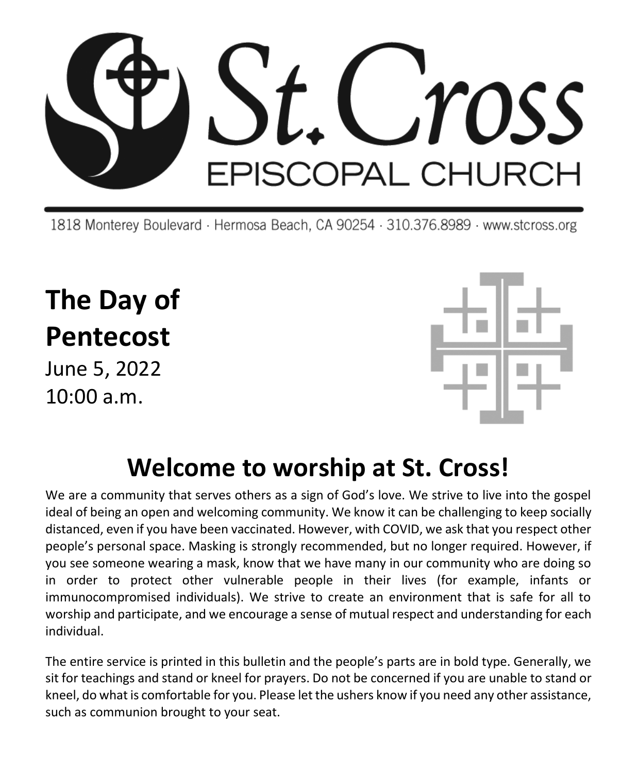

1818 Monterey Boulevard · Hermosa Beach, CA 90254 · 310.376.8989 · www.stcross.org

**The Day of Pentecost** June 5, 2022 10:00 a.m.



# **Welcome to worship at St. Cross!**

We are a community that serves others as a sign of God's love. We strive to live into the gospel ideal of being an open and welcoming community. We know it can be challenging to keep socially distanced, even if you have been vaccinated. However, with COVID, we ask that you respect other people's personal space. Masking is strongly recommended, but no longer required. However, if you see someone wearing a mask, know that we have many in our community who are doing so in order to protect other vulnerable people in their lives (for example, infants or immunocompromised individuals). We strive to create an environment that is safe for all to worship and participate, and we encourage a sense of mutual respect and understanding for each individual.

The entire service is printed in this bulletin and the people's parts are in bold type. Generally, we sit for teachings and stand or kneel for prayers. Do not be concerned if you are unable to stand or kneel, do what is comfortable for you. Please let the ushers know if you need any other assistance, such as communion brought to your seat.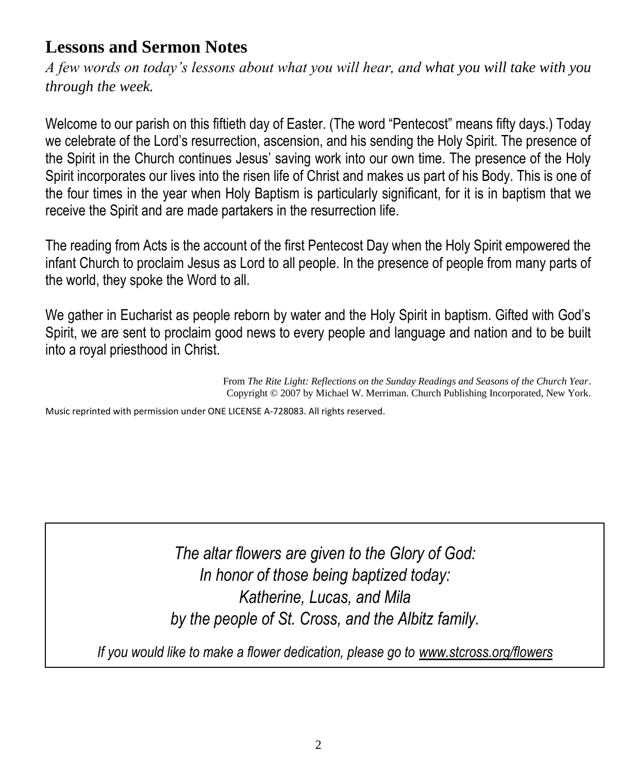## **Lessons and Sermon Notes**

*A few words on today's lessons about what you will hear, and what you will take with you through the week.*

Welcome to our parish on this fiftieth day of Easter. (The word "Pentecost" means fifty days.) Today we celebrate of the Lord's resurrection, ascension, and his sending the Holy Spirit. The presence of the Spirit in the Church continues Jesus' saving work into our own time. The presence of the Holy Spirit incorporates our lives into the risen life of Christ and makes us part of his Body. This is one of the four times in the year when Holy Baptism is particularly significant, for it is in baptism that we receive the Spirit and are made partakers in the resurrection life.

The reading from Acts is the account of the first Pentecost Day when the Holy Spirit empowered the infant Church to proclaim Jesus as Lord to all people. In the presence of people from many parts of the world, they spoke the Word to all.

We gather in Eucharist as people reborn by water and the Holy Spirit in baptism. Gifted with God's Spirit, we are sent to proclaim good news to every people and language and nation and to be built into a royal priesthood in Christ.

> From *The Rite Light: Reflections on the Sunday Readings and Seasons of the Church Year*. Copyright © 2007 by Michael W. Merriman. Church Publishing Incorporated, New York.

Music reprinted with permission under ONE LICENSE A-728083. All rights reserved.

*The altar flowers are given to the Glory of God: In honor of those being baptized today: Katherine, Lucas, and Mila by the people of St. Cross, and the Albitz family.*

*If you would like to make a flower dedication, please go to www.stcross.org/flowers*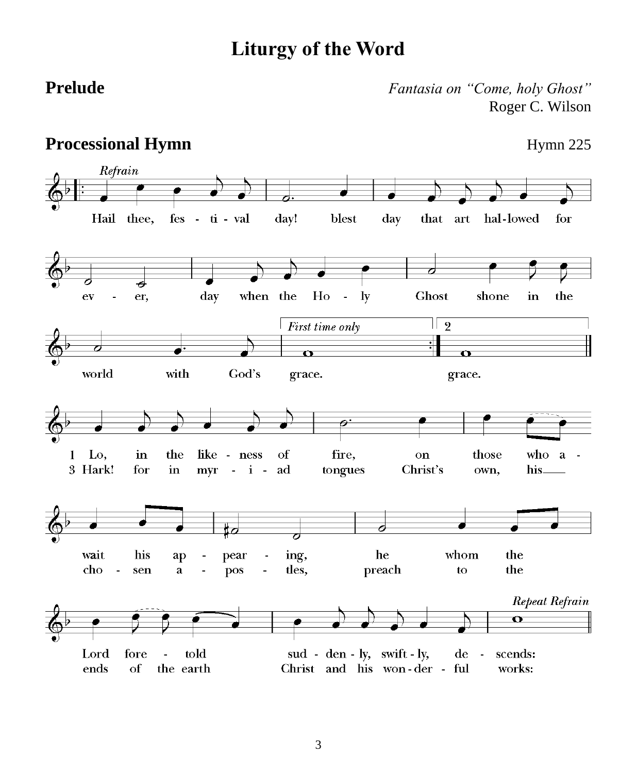**Prelude** *Fantasia on "Come, holy Ghost"* Roger C. Wilson

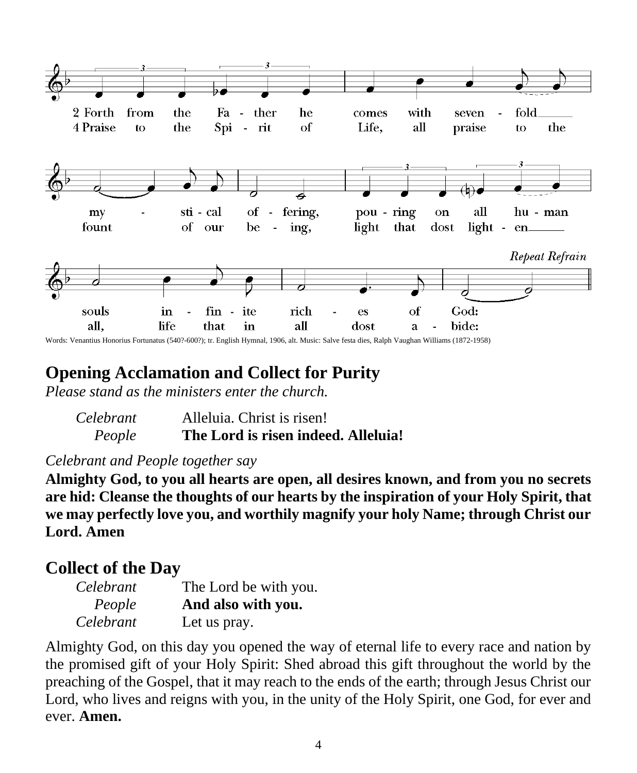

Words: Venantius Honorius Fortunatus (540?-600?); tr. English Hymnal, 1906, alt. Music: Salve festa dies, Ralph Vaughan Williams (1872-1958)

## **Opening Acclamation and Collect for Purity**

*Please stand as the ministers enter the church.*

| Celebrant | Alleluia. Christ is risen!          |
|-----------|-------------------------------------|
| People    | The Lord is risen indeed. Alleluia! |

#### *Celebrant and People together say*

**Almighty God, to you all hearts are open, all desires known, and from you no secrets are hid: Cleanse the thoughts of our hearts by the inspiration of your Holy Spirit, that we may perfectly love you, and worthily magnify your holy Name; through Christ our Lord. Amen**

## **Collect of the Day**

| Celebrant | The Lord be with you. |
|-----------|-----------------------|
| People    | And also with you.    |
| Celebrant | Let us pray.          |

Almighty God, on this day you opened the way of eternal life to every race and nation by the promised gift of your Holy Spirit: Shed abroad this gift throughout the world by the preaching of the Gospel, that it may reach to the ends of the earth; through Jesus Christ our Lord, who lives and reigns with you, in the unity of the Holy Spirit, one God, for ever and ever. **Amen.**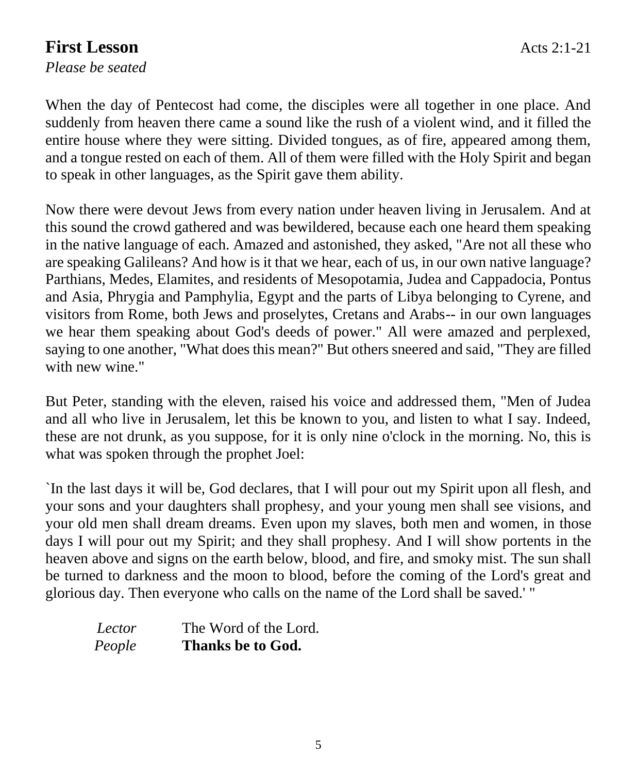## **First Lesson** Acts 2:1-21

When the day of Pentecost had come, the disciples were all together in one place. And suddenly from heaven there came a sound like the rush of a violent wind, and it filled the entire house where they were sitting. Divided tongues, as of fire, appeared among them, and a tongue rested on each of them. All of them were filled with the Holy Spirit and began to speak in other languages, as the Spirit gave them ability.

Now there were devout Jews from every nation under heaven living in Jerusalem. And at this sound the crowd gathered and was bewildered, because each one heard them speaking in the native language of each. Amazed and astonished, they asked, "Are not all these who are speaking Galileans? And how is it that we hear, each of us, in our own native language? Parthians, Medes, Elamites, and residents of Mesopotamia, Judea and Cappadocia, Pontus and Asia, Phrygia and Pamphylia, Egypt and the parts of Libya belonging to Cyrene, and visitors from Rome, both Jews and proselytes, Cretans and Arabs-- in our own languages we hear them speaking about God's deeds of power." All were amazed and perplexed, saying to one another, "What does this mean?" But others sneered and said, "They are filled with new wine."

But Peter, standing with the eleven, raised his voice and addressed them, "Men of Judea and all who live in Jerusalem, let this be known to you, and listen to what I say. Indeed, these are not drunk, as you suppose, for it is only nine o'clock in the morning. No, this is what was spoken through the prophet Joel:

`In the last days it will be, God declares, that I will pour out my Spirit upon all flesh, and your sons and your daughters shall prophesy, and your young men shall see visions, and your old men shall dream dreams. Even upon my slaves, both men and women, in those days I will pour out my Spirit; and they shall prophesy. And I will show portents in the heaven above and signs on the earth below, blood, and fire, and smoky mist. The sun shall be turned to darkness and the moon to blood, before the coming of the Lord's great and glorious day. Then everyone who calls on the name of the Lord shall be saved.' "

| Lector | The Word of the Lord. |
|--------|-----------------------|
| People | Thanks be to God.     |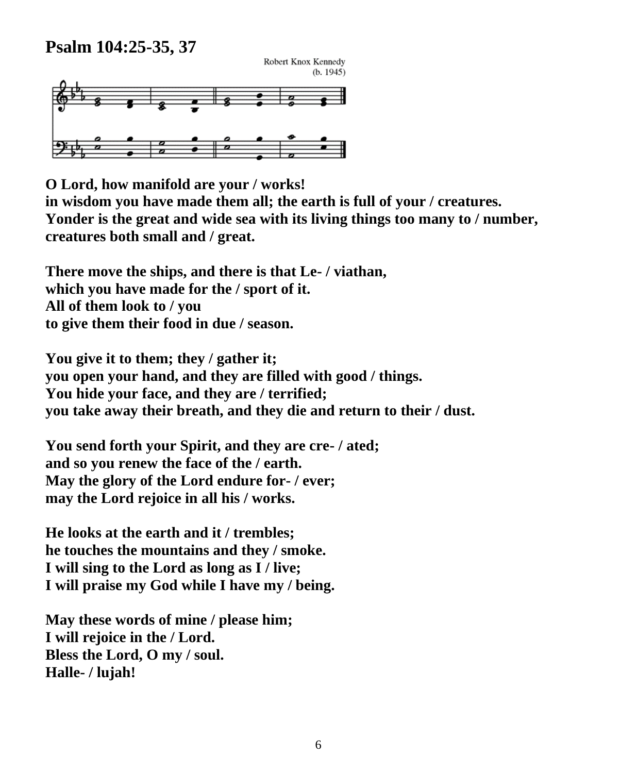**Psalm 104:25-35, 37**



**O Lord, how manifold are your / works! in wisdom you have made them all; the earth is full of your / creatures. Yonder is the great and wide sea with its living things too many to / number, creatures both small and / great.**

**There move the ships, and there is that Le- / viathan, which you have made for the / sport of it. All of them look to / you to give them their food in due / season.**

**You give it to them; they / gather it; you open your hand, and they are filled with good / things. You hide your face, and they are / terrified; you take away their breath, and they die and return to their / dust.**

**You send forth your Spirit, and they are cre- / ated; and so you renew the face of the / earth. May the glory of the Lord endure for- / ever; may the Lord rejoice in all his / works.**

**He looks at the earth and it / trembles; he touches the mountains and they / smoke. I will sing to the Lord as long as I / live; I will praise my God while I have my / being.**

**May these words of mine / please him; I will rejoice in the / Lord. Bless the Lord, O my / soul. Halle- / lujah!**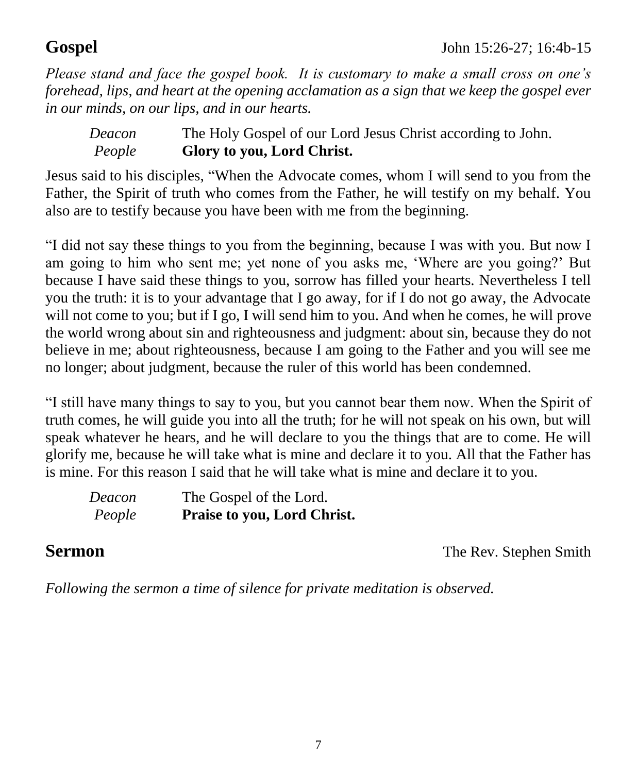#### **Gospel** John 15:26-27; 16:4b-15

*Please stand and face the gospel book. It is customary to make a small cross on one's forehead, lips, and heart at the opening acclamation as a sign that we keep the gospel ever in our minds, on our lips, and in our hearts.*

#### *Deacon* The Holy Gospel of our Lord Jesus Christ according to John. *People* **Glory to you, Lord Christ.**

Jesus said to his disciples, "When the Advocate comes, whom I will send to you from the Father, the Spirit of truth who comes from the Father, he will testify on my behalf. You also are to testify because you have been with me from the beginning.

"I did not say these things to you from the beginning, because I was with you. But now I am going to him who sent me; yet none of you asks me, 'Where are you going?' But because I have said these things to you, sorrow has filled your hearts. Nevertheless I tell you the truth: it is to your advantage that I go away, for if I do not go away, the Advocate will not come to you; but if I go, I will send him to you. And when he comes, he will prove the world wrong about sin and righteousness and judgment: about sin, because they do not believe in me; about righteousness, because I am going to the Father and you will see me no longer; about judgment, because the ruler of this world has been condemned.

"I still have many things to say to you, but you cannot bear them now. When the Spirit of truth comes, he will guide you into all the truth; for he will not speak on his own, but will speak whatever he hears, and he will declare to you the things that are to come. He will glorify me, because he will take what is mine and declare it to you. All that the Father has is mine. For this reason I said that he will take what is mine and declare it to you.

| Deacon | The Gospel of the Lord.     |
|--------|-----------------------------|
| People | Praise to you, Lord Christ. |

**Sermon** The Rev. Stephen Smith

*Following the sermon a time of silence for private meditation is observed.*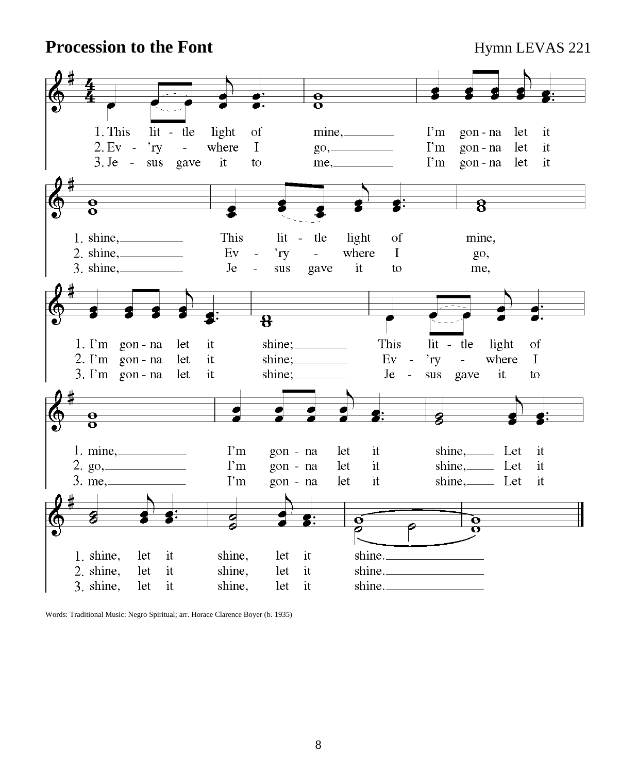**Procession to the Font** Hymn LEVAS 221



Words: Traditional Music: Negro Spiritual; arr. Horace Clarence Boyer (b. 1935)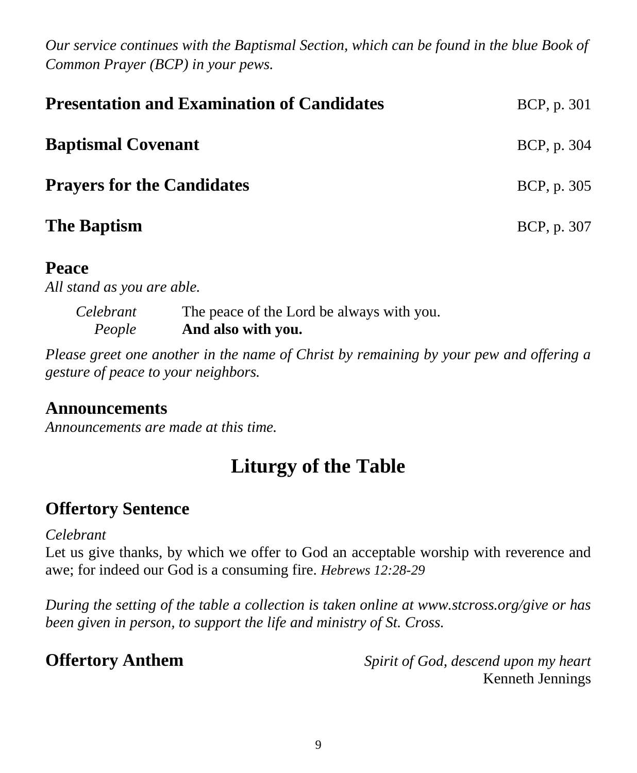*Our service continues with the Baptismal Section, which can be found in the blue Book of Common Prayer (BCP) in your pews.*

| <b>Presentation and Examination of Candidates</b> | BCP, p. 301 |
|---------------------------------------------------|-------------|
| <b>Baptismal Covenant</b>                         | BCP, p. 304 |
| <b>Prayers for the Candidates</b>                 | BCP, p. 305 |
| <b>The Baptism</b>                                | BCP, p. 307 |
|                                                   |             |

## **Peace**

*All stand as you are able.*

| Celebrant | The peace of the Lord be always with you. |
|-----------|-------------------------------------------|
| People    | And also with you.                        |

*Please greet one another in the name of Christ by remaining by your pew and offering a gesture of peace to your neighbors.*

## **Announcements**

*Announcements are made at this time.*

# **Liturgy of the Table**

## **Offertory Sentence**

#### *Celebrant*

Let us give thanks, by which we offer to God an acceptable worship with reverence and awe; for indeed our God is a consuming fire. *Hebrews 12:28-29*

*During the setting of the table a collection is taken online at www.stcross.org/give or has been given in person, to support the life and ministry of St. Cross.*

**Offertory Anthem** *Spirit of God, descend upon my heart* Kenneth Jennings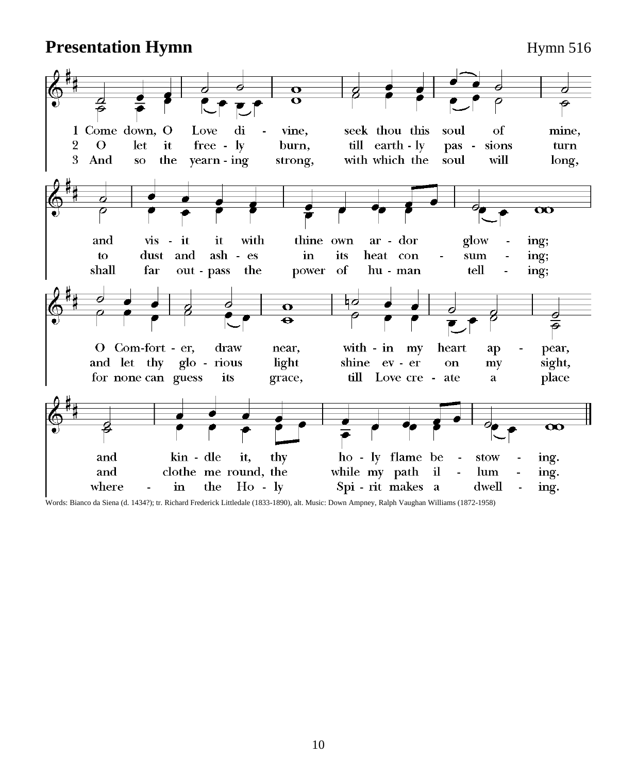**Presentation Hymn** 516



Words: Bianco da Siena (d. 1434?); tr. Richard Frederick Littledale (1833-1890), alt. Music: Down Ampney, Ralph Vaughan Williams (1872-1958)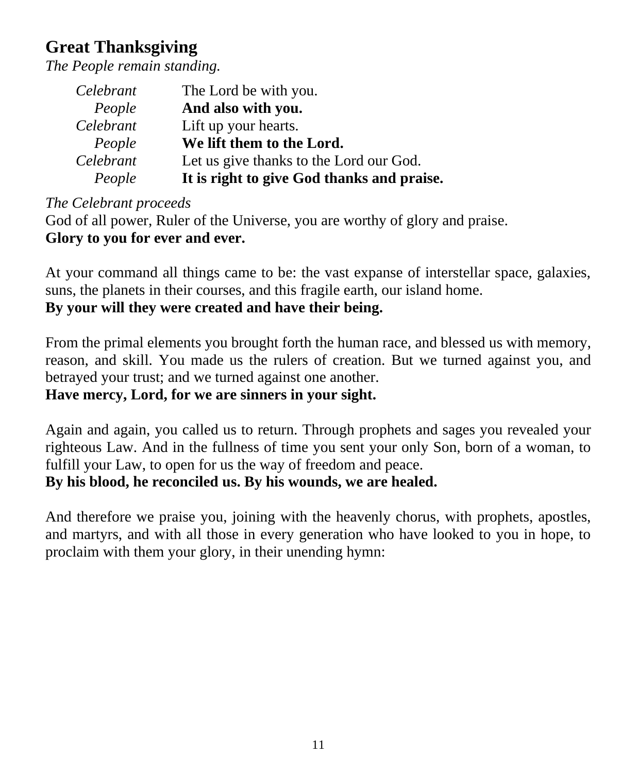## **Great Thanksgiving**

*The People remain standing.*

| Celebrant | The Lord be with you.                      |
|-----------|--------------------------------------------|
| People    | And also with you.                         |
| Celebrant | Lift up your hearts.                       |
| People    | We lift them to the Lord.                  |
| Celebrant | Let us give thanks to the Lord our God.    |
| People    | It is right to give God thanks and praise. |

#### *The Celebrant proceeds*

God of all power, Ruler of the Universe, you are worthy of glory and praise. **Glory to you for ever and ever.**

At your command all things came to be: the vast expanse of interstellar space, galaxies, suns, the planets in their courses, and this fragile earth, our island home. **By your will they were created and have their being.**

From the primal elements you brought forth the human race, and blessed us with memory, reason, and skill. You made us the rulers of creation. But we turned against you, and betrayed your trust; and we turned against one another.

**Have mercy, Lord, for we are sinners in your sight.**

Again and again, you called us to return. Through prophets and sages you revealed your righteous Law. And in the fullness of time you sent your only Son, born of a woman, to fulfill your Law, to open for us the way of freedom and peace. **By his blood, he reconciled us. By his wounds, we are healed.**

And therefore we praise you, joining with the heavenly chorus, with prophets, apostles, and martyrs, and with all those in every generation who have looked to you in hope, to proclaim with them your glory, in their unending hymn: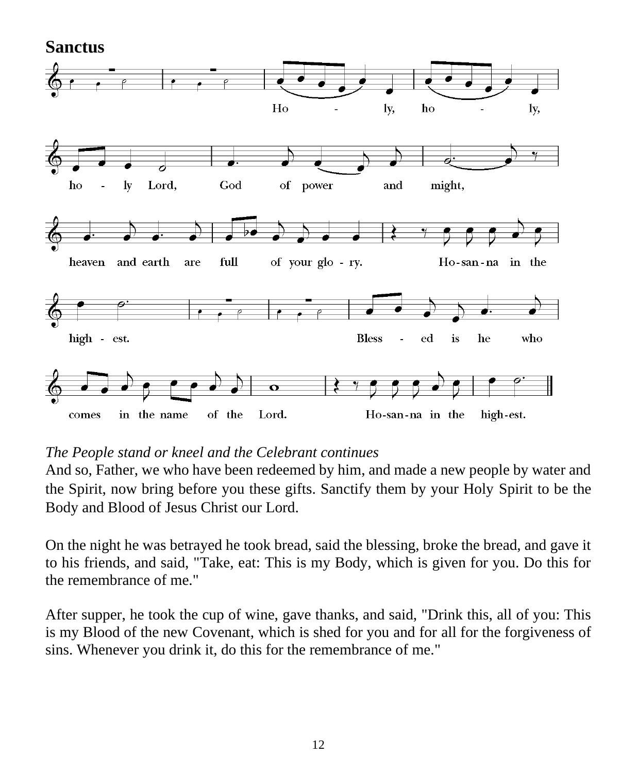**Sanctus**



#### *The People stand or kneel and the Celebrant continues*

And so, Father, we who have been redeemed by him, and made a new people by water and the Spirit, now bring before you these gifts. Sanctify them by your Holy Spirit to be the Body and Blood of Jesus Christ our Lord.

On the night he was betrayed he took bread, said the blessing, broke the bread, and gave it to his friends, and said, "Take, eat: This is my Body, which is given for you. Do this for the remembrance of me."

After supper, he took the cup of wine, gave thanks, and said, "Drink this, all of you: This is my Blood of the new Covenant, which is shed for you and for all for the forgiveness of sins. Whenever you drink it, do this for the remembrance of me."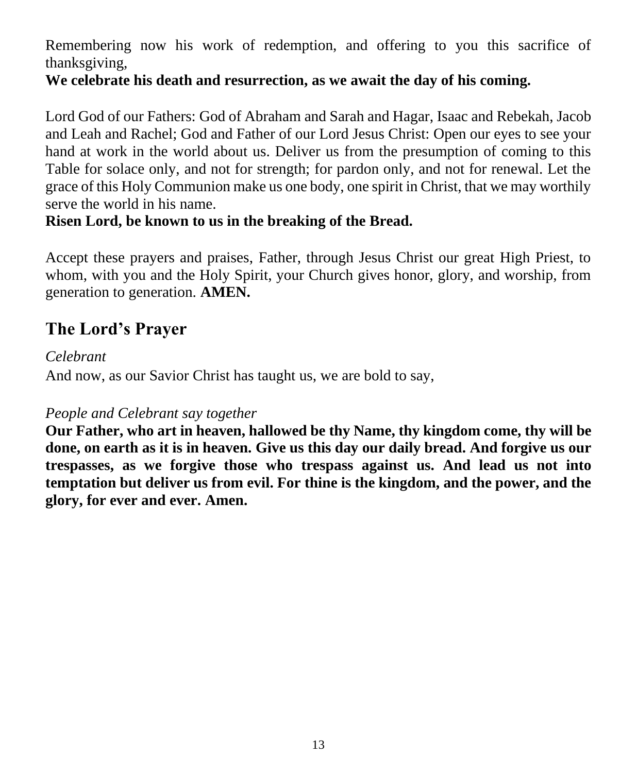Remembering now his work of redemption, and offering to you this sacrifice of thanksgiving,

### **We celebrate his death and resurrection, as we await the day of his coming.**

Lord God of our Fathers: God of Abraham and Sarah and Hagar, Isaac and Rebekah, Jacob and Leah and Rachel; God and Father of our Lord Jesus Christ: Open our eyes to see your hand at work in the world about us. Deliver us from the presumption of coming to this Table for solace only, and not for strength; for pardon only, and not for renewal. Let the grace of this Holy Communion make us one body, one spirit in Christ, that we may worthily serve the world in his name.

## **Risen Lord, be known to us in the breaking of the Bread.**

Accept these prayers and praises, Father, through Jesus Christ our great High Priest, to whom, with you and the Holy Spirit, your Church gives honor, glory, and worship, from generation to generation. **AMEN.**

## **The Lord's Prayer**

#### *Celebrant*

And now, as our Savior Christ has taught us, we are bold to say,

### *People and Celebrant say together*

**Our Father, who art in heaven, hallowed be thy Name, thy kingdom come, thy will be done, on earth as it is in heaven. Give us this day our daily bread. And forgive us our trespasses, as we forgive those who trespass against us. And lead us not into temptation but deliver us from evil. For thine is the kingdom, and the power, and the glory, for ever and ever. Amen.**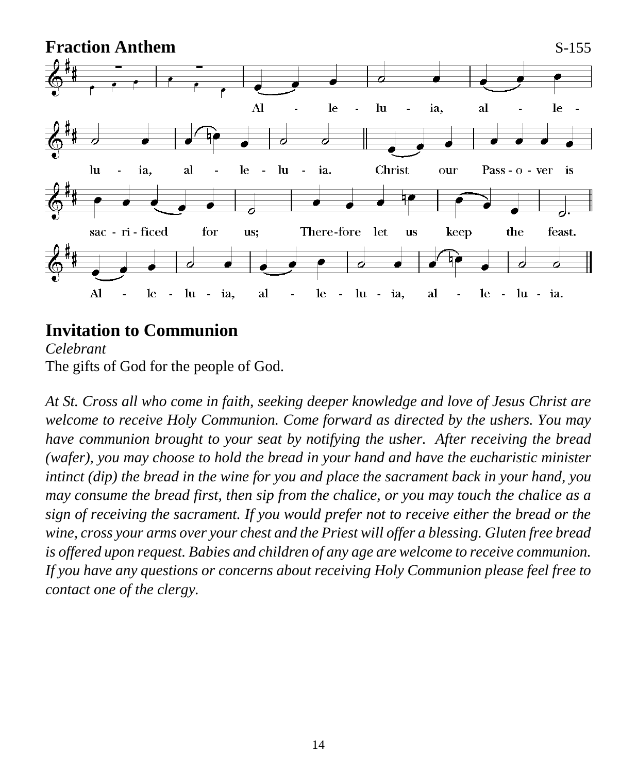

## **Invitation to Communion**

*Celebrant*

The gifts of God for the people of God.

*At St. Cross all who come in faith, seeking deeper knowledge and love of Jesus Christ are welcome to receive Holy Communion. Come forward as directed by the ushers. You may have communion brought to your seat by notifying the usher. After receiving the bread (wafer), you may choose to hold the bread in your hand and have the eucharistic minister intinct (dip) the bread in the wine for you and place the sacrament back in your hand, you may consume the bread first, then sip from the chalice, or you may touch the chalice as a sign of receiving the sacrament. If you would prefer not to receive either the bread or the wine, cross your arms over your chest and the Priest will offer a blessing. Gluten free bread is offered upon request. Babies and children of any age are welcome to receive communion. If you have any questions or concerns about receiving Holy Communion please feel free to contact one of the clergy.*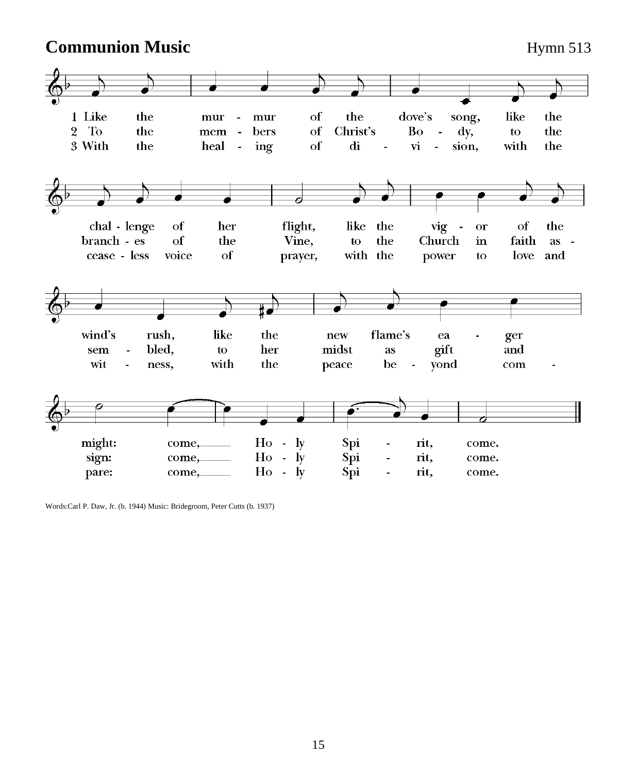**Communion Music** Hymn 513



Words:Carl P. Daw, Jr. (b. 1944) Music: Bridegroom, Peter Cutts (b. 1937)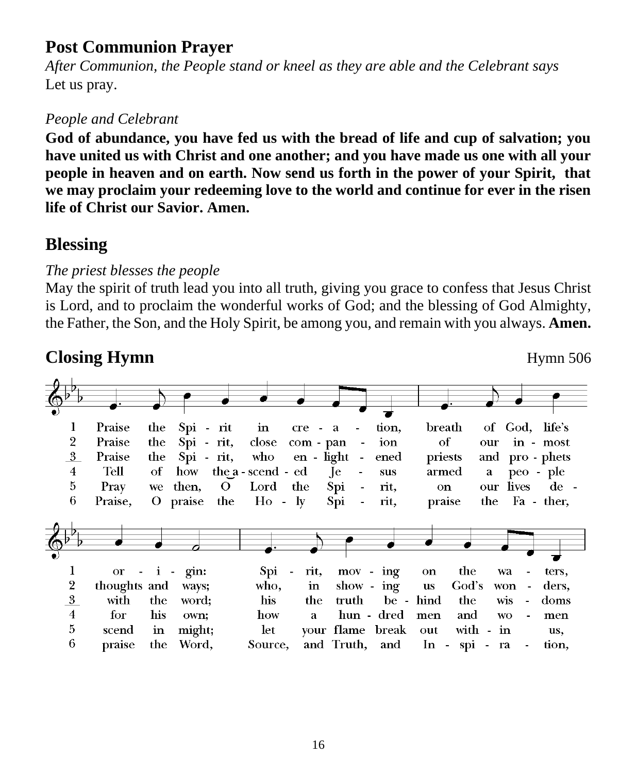## **Post Communion Prayer**

*After Communion, the People stand or kneel as they are able and the Celebrant says* Let us pray.

#### *People and Celebrant*

**God of abundance, you have fed us with the bread of life and cup of salvation; you have united us with Christ and one another; and you have made us one with all your people in heaven and on earth. Now send us forth in the power of your Spirit, that we may proclaim your redeeming love to the world and continue for ever in the risen life of Christ our Savior. Amen.**

## **Blessing**

#### *The priest blesses the people*

May the spirit of truth lead you into all truth, giving you grace to confess that Jesus Christ is Lord, and to proclaim the wonderful works of God; and the blessing of God Almighty, the Father, the Son, and the Holy Spirit, be among you, and remain with you always. **Amen.**

## **Closing Hymn** 506

| 1                       | Praise<br>- Spi - rit<br>the     | in<br>tion,<br>$cre - a$<br>$\blacksquare$                | breath<br>of God, life's                             |
|-------------------------|----------------------------------|-----------------------------------------------------------|------------------------------------------------------|
| $\overline{2}$          | Praise<br>Spi - rit,<br>the      | close<br>com - pan<br>ion<br>$\qquad \qquad \blacksquare$ | of<br>our in - most                                  |
| $\frac{3}{2}$           | Praise<br>the                    | Spi - rit, who en - light<br>ened<br>$\sim$               | priests<br>and pro - phets                           |
| $\overline{4}$          | Tell<br>$\sigma f$               | how the a - scend - ed<br>Je<br>sus<br>$\blacksquare$     | armed<br>- peo - ple<br>$\mathbf{a}$                 |
| $\mathbf 5$             | Pray<br>we then,                 | Lord the<br>Spi<br>$\mathbf{O}$<br>rit,<br>$\blacksquare$ | our lives<br>de -<br><b>on</b>                       |
| 6                       | Praise,<br>O praise the          | Spi<br>$Ho - ly$<br>rit,<br>$\overline{\phantom{a}}$      | the Fa - ther,<br>praise                             |
|                         |                                  |                                                           |                                                      |
| 1                       | or - $i$ - $\sin$                | Spi<br>$\text{mov - ing}$<br>rit,<br>$\sim$               | the<br>on<br>wa<br>ters,<br>$\overline{\phantom{a}}$ |
| $\overline{2}$          | thoughts and ways;               | show - $ing$ us<br>who,<br>in                             | God's<br>ders,<br>won<br>$\overline{\phantom{a}}$    |
| $\overline{3}$          | with<br>the<br>word;             | his<br>be - hind<br>truth<br>the                          | the<br>doms<br><b>WIS</b><br>÷.                      |
| $\overline{\mathbf{4}}$ | his<br>for<br>own:               | hun - dred men<br>how<br>a                                | and<br>WO.<br>men<br>٠                               |
| 5                       | $\mathbf{in}$<br>might;<br>scend | your flame break out<br>let                               | with $-$ in<br>us,                                   |
| 6                       | Word,<br>praise<br>the           | and Truth, and In - spi - ra<br>Source,                   | tion,<br>$\blacksquare$                              |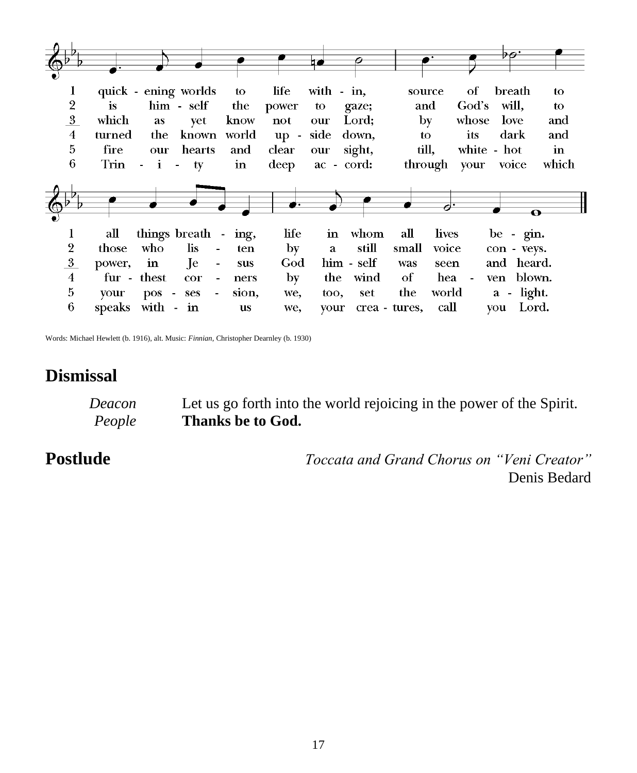|                |        |                                |                      |                        |             |              |                    |        |         | bo:                  |       |
|----------------|--------|--------------------------------|----------------------|------------------------|-------------|--------------|--------------------|--------|---------|----------------------|-------|
|                |        |                                |                      |                        |             | h o          |                    |        |         |                      |       |
|                |        |                                |                      |                        |             |              |                    |        |         |                      |       |
|                |        |                                | quick - ening worlds | to                     | life        | with $-$ in, |                    | source |         | breath<br>οf         | to    |
| $\overline{2}$ | is.    |                                | him - self           | the                    | power       | to           | gaze;              | and    |         | God's will,          | to    |
| $\frac{3}{2}$  | which  | as                             | yet                  | know                   | not         | our          | Lord;              | by     |         | whose love           | and   |
| $\overline{4}$ | turned | the                            | known                | world                  | $up -$      | side         | down,              | to.    |         | its<br>dark          | and   |
| 5              | fire   | our                            | hearts               | and                    | clear       | our          | sight,             | till,  |         | white - hot          | in    |
| 6              | Trin   | $\mathbf{i}$<br>$\overline{a}$ | $-$ ty               | in                     | $\bf{deep}$ | ac - cord:   |                    |        | through | voice<br>your        | which |
|                |        |                                |                      |                        |             |              |                    |        |         |                      |       |
|                |        |                                |                      |                        |             |              |                    |        |         |                      |       |
|                |        |                                |                      |                        | r.          |              |                    |        | o.      |                      | Å     |
|                |        |                                |                      |                        |             |              |                    |        |         |                      |       |
|                | aЩ     |                                | things breath - ing, |                        | life.       | $\mathbf{m}$ | whom               | aЩ     | lives   | be - gin.            |       |
| $\overline{2}$ | those  | who                            | lis                  | ten<br>$\blacksquare$  | by          | a            | still              | small  | voice   | con - veys.          |       |
| $\frac{3}{4}$  | power, | in                             | Je                   | sus<br>$\blacksquare$  | God         |              | him - self         | was    | seen    | and heard.           |       |
|                | fur -  | thest                          | cor                  | ners<br>$\blacksquare$ | by          | the          | wind               | of     | hea     | ven blown.<br>$\sim$ |       |
| $\bf 5$        | your   | $pos -$                        | ses                  | sion,<br>$\sim$        | we,         | too,         | set                | the    | world   | $a - light.$         |       |
| 6              |        | speaks with - in               |                      | <b>us</b>              | we,         |              | your crea - tures, |        | call    | you Lord.            |       |

Words: Michael Hewlett (b. 1916), alt. Music: *Finnian*, Christopher Dearnley (b. 1930)

## **Dismissal**

*Deacon* Let us go forth into the world rejoicing in the power of the Spirit. *People* **Thanks be to God.**

**Postlude** *Toccata and Grand Chorus on "Veni Creator"* Denis Bedard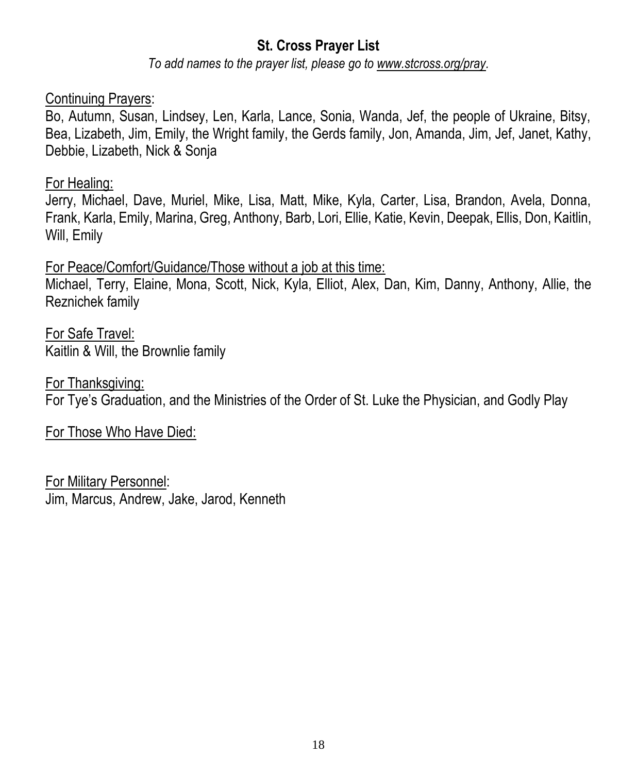## **St. Cross Prayer List**

*To add names to the prayer list, please go to www.stcross.org/pray.*

Continuing Prayers:

Bo, Autumn, Susan, Lindsey, Len, Karla, Lance, Sonia, Wanda, Jef, the people of Ukraine, Bitsy, Bea, Lizabeth, Jim, Emily, the Wright family, the Gerds family, Jon, Amanda, Jim, Jef, Janet, Kathy, Debbie, Lizabeth, Nick & Sonja

### For Healing:

Jerry, Michael, Dave, Muriel, Mike, Lisa, Matt, Mike, Kyla, Carter, Lisa, Brandon, Avela, Donna, Frank, Karla, Emily, Marina, Greg, Anthony, Barb, Lori, Ellie, Katie, Kevin, Deepak, Ellis, Don, Kaitlin, Will, Emily

For Peace/Comfort/Guidance/Those without a job at this time:

Michael, Terry, Elaine, Mona, Scott, Nick, Kyla, Elliot, Alex, Dan, Kim, Danny, Anthony, Allie, the Reznichek family

For Safe Travel: Kaitlin & Will, the Brownlie family

For Thanksgiving: For Tye's Graduation, and the Ministries of the Order of St. Luke the Physician, and Godly Play

For Those Who Have Died:

For Military Personnel: Jim, Marcus, Andrew, Jake, Jarod, Kenneth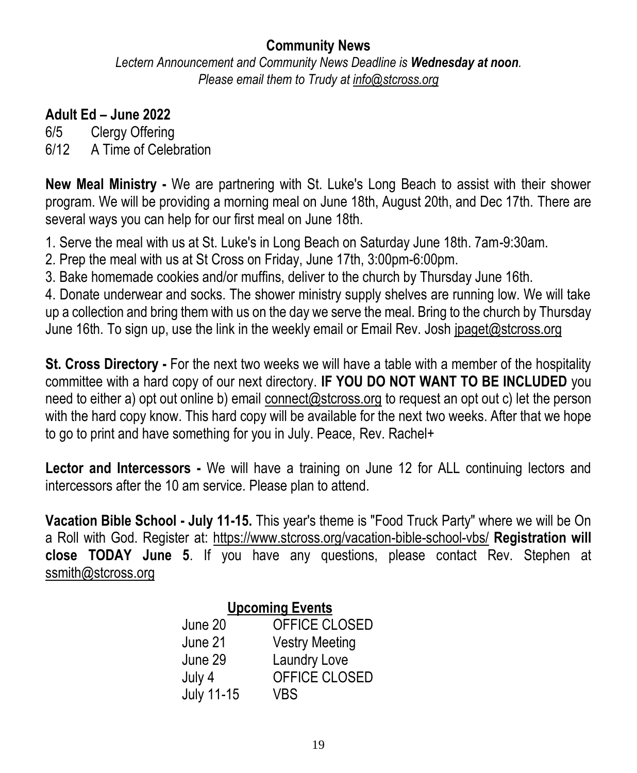## **Community News**

*Lectern Announcement and Community News Deadline is Wednesday at noon. Please email them to Trudy at [info@stcross.org](mailto:info@stcross.org)*

## **Adult Ed – June 2022**

6/5 Clergy Offering 6/12 A Time of Celebration

**New Meal Ministry -** We are partnering with St. Luke's Long Beach to assist with their shower program. We will be providing a morning meal on June 18th, August 20th, and Dec 17th. There are several ways you can help for our first meal on June 18th.

1. Serve the meal with us at St. Luke's in Long Beach on Saturday June 18th. 7am-9:30am.

2. Prep the meal with us at St Cross on Friday, June 17th, 3:00pm-6:00pm.

3. Bake homemade cookies and/or muffins, deliver to the church by Thursday June 16th.

4. Donate underwear and socks. The shower ministry supply shelves are running low. We will take up a collection and bring them with us on the day we serve the meal. Bring to the church by Thursday June 16th. To sign up, use the link in the weekly email or Email Rev. Josh [jpaget@stcross.org](mailto:jpaget@stcross.org)

**St. Cross Directory -** For the next two weeks we will have a table with a member of the hospitality committee with a hard copy of our next directory. **IF YOU DO NOT WANT TO BE INCLUDED** you need to either a) opt out online b) email connect@stcross.org to request an opt out c) let the person with the hard copy know. This hard copy will be available for the next two weeks. After that we hope to go to print and have something for you in July. Peace, Rev. Rachel+

**Lector and Intercessors -** We will have a training on June 12 for ALL continuing lectors and intercessors after the 10 am service. Please plan to attend.

**Vacation Bible School - July 11-15.** This year's theme is "Food Truck Party" where we will be On a Roll with God. Register at: https://www.stcross.org/vacation-bible-school-vbs/ **Registration will close TODAY June 5**. If you have any questions, please contact Rev. Stephen at ssmith@stcross.org

# **Upcoming Events**

| June 20           | OFFICE CLOSED         |
|-------------------|-----------------------|
| June 21           | <b>Vestry Meeting</b> |
| June 29           | Laundry Love          |
| July 4            | OFFICE CLOSED         |
| <b>July 11-15</b> | VBS                   |